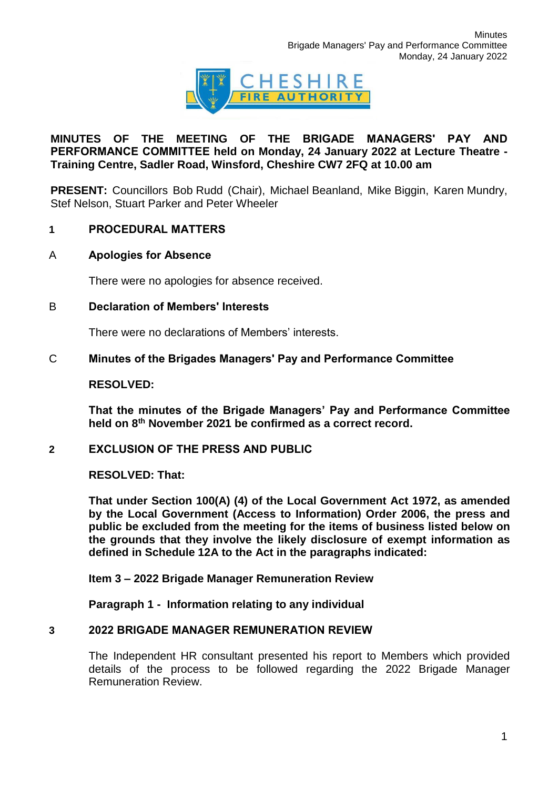

## **MINUTES OF THE MEETING OF THE BRIGADE MANAGERS' PAY AND PERFORMANCE COMMITTEE held on Monday, 24 January 2022 at Lecture Theatre - Training Centre, Sadler Road, Winsford, Cheshire CW7 2FQ at 10.00 am**

**PRESENT:** Councillors Bob Rudd (Chair), Michael Beanland, Mike Biggin, Karen Mundry, Stef Nelson, Stuart Parker and Peter Wheeler

### **1 PROCEDURAL MATTERS**

### A **Apologies for Absence**

There were no apologies for absence received.

# B **Declaration of Members' Interests**

There were no declarations of Members' interests.

#### C **Minutes of the Brigades Managers' Pay and Performance Committee**

#### **RESOLVED:**

**That the minutes of the Brigade Managers' Pay and Performance Committee held on 8th November 2021 be confirmed as a correct record.**

### **2 EXCLUSION OF THE PRESS AND PUBLIC**

### **RESOLVED: That:**

**That under Section 100(A) (4) of the Local Government Act 1972, as amended by the Local Government (Access to Information) Order 2006, the press and public be excluded from the meeting for the items of business listed below on the grounds that they involve the likely disclosure of exempt information as defined in Schedule 12A to the Act in the paragraphs indicated:**

**Item 3 – 2022 Brigade Manager Remuneration Review**

**Paragraph 1 - Information relating to any individual**

## **3 2022 BRIGADE MANAGER REMUNERATION REVIEW**

The Independent HR consultant presented his report to Members which provided details of the process to be followed regarding the 2022 Brigade Manager Remuneration Review.